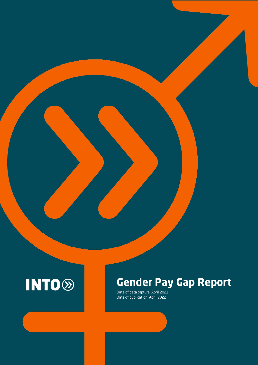

# **Gender Pay Gap Report**

Date of data capture: April 2021 Date of publication: April 2022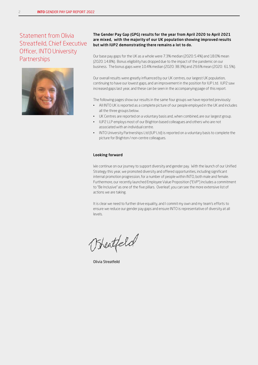### Statement from Olivia Streatfeild, Chief Executive Officer, INTO University **Partnerships**



#### The Gender Pay Gap (GPG) results for the year from April 2020 to April 2021 are mixed, with the majority of our UK population showing improved results but with IUP2 demonstrating there remains a lot to do.

Our base pay gaps for the UK as a whole were 7.3% median (2020: 5.4%) and 18.0% mean (2020: 14.8%). Bonus eligibility has dropped due to the impact of the pandemic on our business. The bonus gaps were 10.4% median (2020: 38.3%) and 29.6% mean (2020: 61.5%).

Our overall results were greatly influenced by our UK centres, our largest UK population, continuing to have our lowest gaps, and an improvement in the position for IUP Ltd. IUP2 saw increased gaps last year, and these can be seen in the accompanying page of this report.

The following pages show our results in the same four groups we have reported previously:

- All INTO UK is reported as a complete picture of our people employed in the UK and includes all the three groups below.
- UK Centres are reported on a voluntary basis and, when combined, are our largest group.
- IUP2 LLP employs most of our Brighton based colleagues and others who are not associated with an individual centre.
- INTO University Partnerships Ltd (IUP Ltd) is reported on a voluntary basis to complete the picture for Brighton / non-centre colleagues.

#### Looking forward

We continue on our journey to support diversity and gender pay. With the launch of our Unified Strategy this year, we promoted diversity and offered opportunities, including significant internal promotion progression, for a number of people within INTO, both male and female. Furthermore, our recently launched Employee Value Proposition ("EVP") includes a commitment to "Be Inclusive" as one of the five pillars. Overleaf, you can see the more extensive list of actions we are taking.

It is clear we need to further drive equality, and I commit my own and my team's efforts to ensure we reduce our gender pay gaps and ensure INTO is representative of diversity at all levels.

Freatfeld

Olivia Streatfeild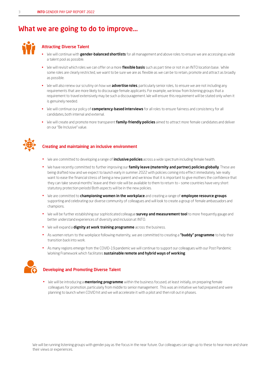# What we are going to do to improve…



### Attracting Diverse Talent

- We will continue with gender-balanced shortlists for all management and above roles to ensure we are accessing as wide a talent pool as possible.
- We will revisit which roles we can offer on a more **flexible basis** such as part time or not in an INTO location base. While some roles are clearly restricted, we want to be sure we are as flexible as we can be to retain, promote and attract as broadly as possible.
- We will also renew our scrutiny on how we **advertise roles**, particularly senior roles, to ensure we are not including any requirements that are more likely to discourage female applicants. For example, we know from listening groups that a requirement to travel extensively may be such a discouragement. We will ensure this requirement will be stated only when it is genuinely needed.
- We will continue our policy of competency-based interviews for all roles to ensure fairness and consistency for all candidates, both internal and external.
- We will create and promote more transparent family-friendly policies aimed to attract more female candidates and deliver on our "Be Inclusive" value.



### Creating and maintaining an inclusive environment

- We are committed to developing a range of *inclusive policies* across a wide spectrum including female health.
- We have recently committed to further improving our family leave (maternity and partner) policies globally. These are being drafted now and we expect to launch early in summer 2022 with policies coming into effect immediately. We really want to ease the financial stress of being a new parent and we know that it is important to give mothers the confidence that they can take several months' leave and their role will be available to them to return to – some countries have very short statutory protection periods! Both aspects will be in the new policies.
- We are committed to **championing women in the workplace** and creating a range of **employee resource groups** supporting and celebrating our diverse community of colleagues and will look to create a group of female ambassadors and champions.
- We will be further establishing our sophisticated colleague **survey and measurement tool** to more frequently gauge and better understand experiences of diversity and inclusion at INTO.
- We will expand a dignity at work training programme across the business.
- As women return to the workplace following maternity, we are committed to creating a "buddy" programme to help their transition back into work.
- As many regions emerge from the COVID-19 pandemic we will continue to support our colleagues with our Post Pandemic Working Framework which facilitates sustainable remote and hybrid ways of working.



### Developing and Promoting Diverse Talent

• We will be introducing a **mentoring programme** within the business focused, at least initially, on preparing female colleagues for promotion, particularly from middle to senior management. This was an initiative we had prepared and were planning to launch when COVID hit and we will accelerate it with a pilot and then roll out in phases.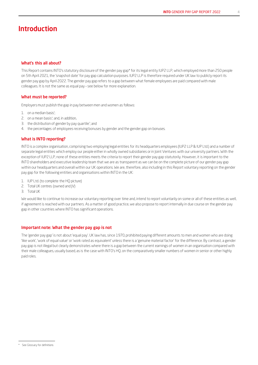# Introduction

#### What's this all about?

This Report contains INTO's statutory disclosure of the gender pay gap\* for its legal entity IUP2 LLP, which employed more than 250 people on 5th April 2021, the 'snapshot date' for pay gap calculation purposes. IUP2 LLP is therefore required under UK law to publicly report its gender pay gap by April 2022. The gender pay gap refers to a gap between what female employees are paid compared with male colleagues. It is not the same as equal pay – see below for more explanation.

#### What must be reported?

Employersmust publish the gap in pay between men and women as follows:

- 1. on a median basis\* ;
- 2. on a mean basis\* ; and, in addition,
- 3. the distribution of gender by pay quartile\* ; and
- 4. the percentages of employees receiving bonuses by gender and the gender gap on bonuses.

#### What is INTO reporting?

INTO is a complex organisation, comprising two employing legal entities for its headquarters employees (IUP2 LLP & IUP Ltd.) and a number of separate legal entities which employ our people either in wholly owned subsidiaries or in Joint Ventures with our university partners. With the exception of IUP2 LLP, none of these entities meets the criteria to report their gender pay gap statutorily. However, it is important to the INTO shareholders and executive leadership team that we are as transparent as we can be on the complete picture of our gender pay gap within our headquarters and overall within our UK operations. We are, therefore, also including in this Report voluntary reporting on the gender pay gap for the following entities and organisations within INTO in the UK:

- 1. IUP Ltd. (to complete the HQ picture)
- 2. Total UK centres (owned and JV)
- 3. Total UK

We would like to continue to increase our voluntary reporting over time and, intend to report voluntarily on some or all of these entities as well, if agreement is reached with our partners. As a matter of good practice, we also propose to report internally in due course on the gender pay gap in other countries where INTO has significant operations.

#### Important note: What the gender pay gap is not

The 'gender pay gap' is not about 'equal pay'. UK law has, since 1970, prohibited paying different amounts to men and women who are doing 'like work', 'work of equal value' or 'work rated as equivalent' unless there is a 'genuine material factor' for the difference. By contrast, a gender pay gap is not illegal but clearly demonstrates where there is a gap between the current earnings of women in an organisation compared with their male colleagues, usually based, as is the case with INTO's HQ, on the comparatively smaller numbers of women in senior or other highly paid roles.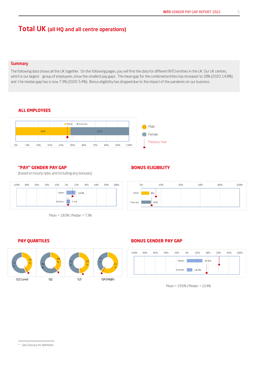## Total UK (all HQ and all centre operations)

#### **Summary**

The following data shows all the UK together. On the following pages, you will find the data for different INTO entities in the UK. Our UK centres, which is our largest group of employees, show the smallest pay gaps. The mean gap for the combined entities has increased to 18% (2020: 14.8%) and t he median gap has is now 7.3% (2020: 5.4%). Bonus eligibility has dropped due to the impact of the pandemic on our business.

#### **ALL EMPLOYEES**



#### **"PAY" GENDER PAY GAP**

(based on hourly rates and including any bonuses)





### **BONUS ELIGIBILITY**



#### **PAY QUARTILES**



#### **BONUS GENDER PAY GAP**



Mean = 29.6% | Median = 10.4%

<sup>5</sup>

<sup>\*</sup> See Glossary for definitions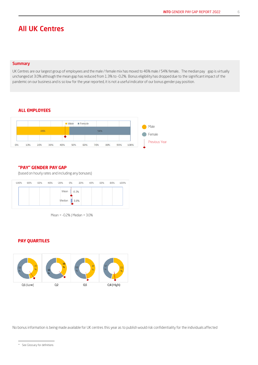# All UK Centres

#### **Summary**

UK Centres are our largest group of employees and the male / female mix has moved to 46% male / 54% female.. The median pay gap is virtually unchanged at 3.0% although the mean gap has reduced from 1.3% to -0.2%. Bonus eligibility has dropped due to the significant impact of the pandemic on our business and is so low for the year reported, it is not a useful indicator of our bonus gender pay position.

#### **ALL EMPLOYEES**



#### **"PAY" GENDER PAY GAP**

(based on hourly rates and including any bonuses)

| $-100%$ | $-80%$ | -60% | -40% -20% 0% | 20%     | 40% | 60% | 80% | 100% |
|---------|--------|------|--------------|---------|-----|-----|-----|------|
|         |        |      | Mean         | $-0.2%$ |     |     |     |      |
|         |        |      | Median       | 3.0%    |     |     |     |      |

Mean = -0.2% | Median = 3.0%

#### **PAY QUARTILES**



No bonus information is being made available for UK centres this year as to publish would risk confidentiality for the individuals affected

<sup>\*</sup> See Glossary for definitions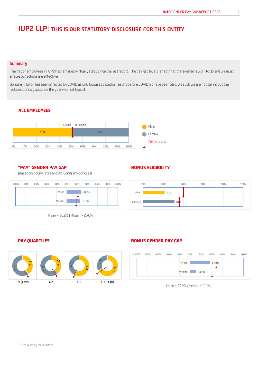7

# IUP2 LLP: THIS IS OUR STATUTORY DISCLOSURE FOR THIS ENTITY

#### **Summary**

The mix of employees in IUP2 has remained virtually static since the last report. The pay gap levels reflect that there remains work to do and we must ensure our actions are effective.

Bonus eligibility has been affected by COVID as only bonuses based on results before COVID hit have been paid. As such we are not calling out the reduced bonus gaps since the year was not typical,

### **ALL EMPLOYEES**



#### **"PAY" GENDER PAY GAP**

(based on hourly rates and including any bonuses)



Mean = 28.2% | Median = 26.6%

### **BONUS ELIGIBILITY**



#### **PAY QUARTILES**



#### **BONUS GENDER PAY GAP**



Mean = 37.2% | Median = 11.4%

<sup>\*</sup> See Glossary for definitions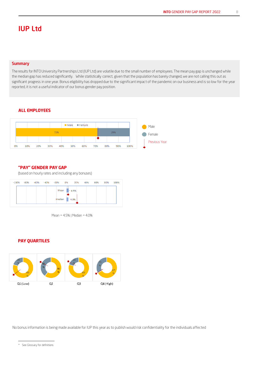# IUP Ltd

#### **Summary**

The results for INTO University Partnerships Ltd (IUP Ltd) are volatile due to the small number of employees. The mean pay gap is unchanged while the median gap has reduced significantly. While statistically correct, given that the population has barely changed, we are not calling this out as significant progress in one year. Bonus eligibility has dropped due to the significant impact of the pandemic on our business and is so low for the year reported, it is not a useful indicator of our bonus gender pay position.

### **ALL EMPLOYEES**



#### **"PAY" GENDER PAY GAP**

(based on hourly rates and including any bonuses)



Mean = 4.5% | Median = 4.0%

#### **PAY QUARTILES**



No bonus information is being made available for IUP this year as to publish would risk confidentiality for the individuals affected

<sup>\*</sup> See Glossary for definitions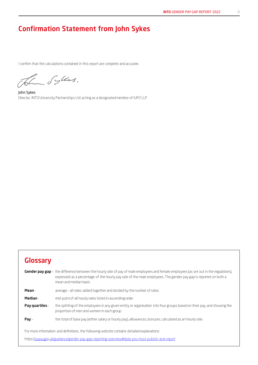# Confirmation Statement from John Sykes

I confirm that the calculations contained in this report are complete and accurate.

The Syles.

John Sykes Director, INTOUniversity Partnerships Ltd. acting as a designatedmember of IUP2 LLP

# **Glossary**

|                | <b>Gender pay gap</b> – the difference between the hourly rate of pay of male employees and female employees (as set out in the regulations),<br>expressed as a percentage of the hourly pay rate of the male employees. The gender pay gap is reported on both a<br>mean and median basis. |  |  |  |  |
|----------------|---------------------------------------------------------------------------------------------------------------------------------------------------------------------------------------------------------------------------------------------------------------------------------------------|--|--|--|--|
| Mean-          | average – all rates added together and divided by the number of rates.                                                                                                                                                                                                                      |  |  |  |  |
| Median-        | mid-point of all hourly rates listed in ascending order.                                                                                                                                                                                                                                    |  |  |  |  |
| Pay quartiles- | the splitting of the employees in any given entity or organisation into four groups based on their pay, and showing the<br>proportion of men and women in each group                                                                                                                        |  |  |  |  |
| $Pay-$         | the total of base pay (either salary or hourly pay), allowances, bonuses, calculated as an hourly rate.                                                                                                                                                                                     |  |  |  |  |
|                | For more information and definitions, the following website contains detailed explanations:                                                                                                                                                                                                 |  |  |  |  |
|                | https://www.gov.uk/guidance/gender-pay-gap-reporting-overview#data-you-must-publish-and-report                                                                                                                                                                                              |  |  |  |  |